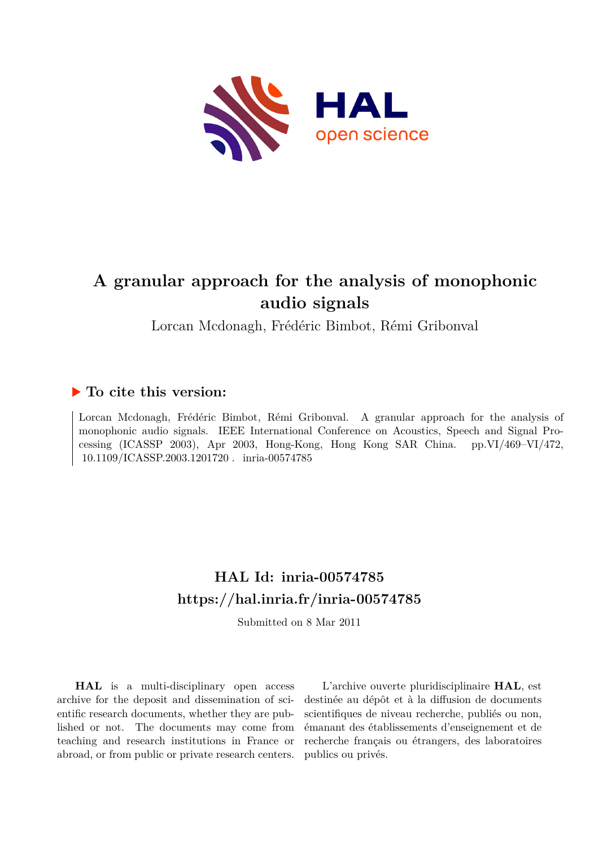

# **A granular approach for the analysis of monophonic audio signals**

Lorcan Mcdonagh, Frédéric Bimbot, Rémi Gribonval

# **To cite this version:**

Lorcan Mcdonagh, Frédéric Bimbot, Rémi Gribonval. A granular approach for the analysis of monophonic audio signals. IEEE International Conference on Acoustics, Speech and Signal Processing (ICASSP 2003), Apr 2003, Hong-Kong, Hong Kong SAR China. pp.VI/469–VI/472, 10.1109/ICASSP.2003.1201720 . inria-00574785

# **HAL Id: inria-00574785 <https://hal.inria.fr/inria-00574785>**

Submitted on 8 Mar 2011

**HAL** is a multi-disciplinary open access archive for the deposit and dissemination of scientific research documents, whether they are published or not. The documents may come from teaching and research institutions in France or abroad, or from public or private research centers.

L'archive ouverte pluridisciplinaire **HAL**, est destinée au dépôt et à la diffusion de documents scientifiques de niveau recherche, publiés ou non, émanant des établissements d'enseignement et de recherche français ou étrangers, des laboratoires publics ou privés.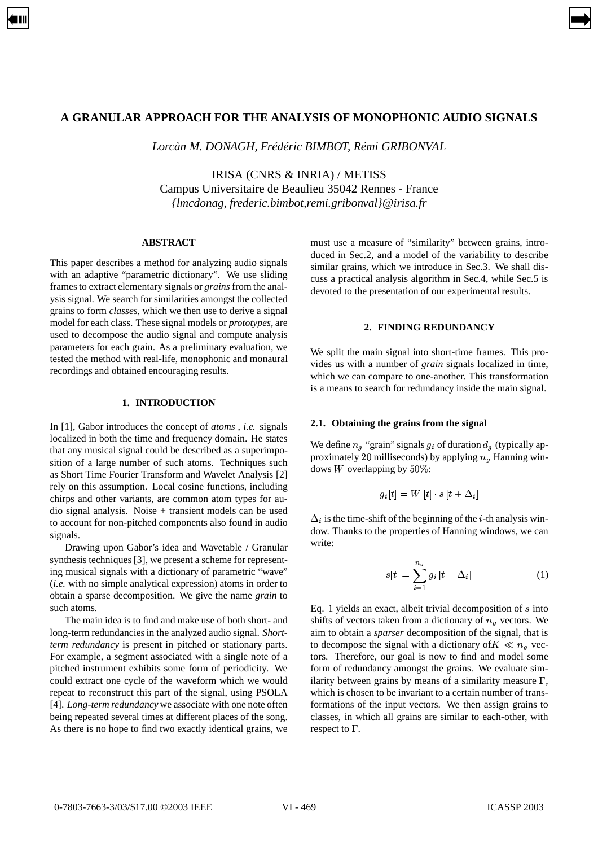# **A GRANULAR APPROACH FOR THE ANALYSIS OF MONOPHONIC AUDIO SIGNALS**

<span id="page-1-0"></span>[➡](#page-2-0)

*Lorcàn M. DONAGH, Frédéric BIMBOT, Rémi GRIBONVAL*

IRISA (CNRS & INRIA) / METISS Campus Universitaire de Beaulieu 35042 Rennes - France *{lmcdonag, frederic.bimbot,remi.gribonval}@irisa.fr*

## **ABSTRACT**

This paper describes a method for analyzing audio signals with an adaptive "parametric dictionary". We use sliding framesto extract elementary signals or *grains* from the analysis signal. We search for similarities amongst the collected grains to form *classes,* which we then use to derive a signal model for each class. These signal models or *prototypes,* are used to decompose the audio signal and compute analysis parameters for each grain. As a preliminary evaluation, we tested the method with real-life, monophonic and monaural recordings and obtained encouraging results.

# **1. INTRODUCTION**

In [1], Gabor introduces the concept of *atoms* , *i.e.* signals localized in both the time and frequency domain. He states that any musical signal could be described as a superimposition of a large number of such atoms. Techniques such as Short Time Fourier Transform and Wavelet Analysis [2] rely on this assumption. Local cosine functions, including chirps and other variants, are common atom types for audio signal analysis. Noise + transient models can be used to account for non-pitched components also found in audio signals.

Drawing upon Gabor's idea and Wavetable / Granular synthesis techniques [3], we present a scheme for representing musical signals with a dictionary of parametric "wave" (*i.e.* with no simple analytical expression) atoms in order to obtain a sparse decomposition. We give the name *grain* to such atoms.

The main idea is to find and make use of both short- and long-term redundancies in the analyzed audio signal. *Shortterm redundancy* is present in pitched or stationary parts. For example, a segment associated with a single note of a pitched instrument exhibits some form of periodicity. We could extract one cycle of the waveform which we would repeat to reconstruct this part of the signal, using PSOLA [4]. *Long-term redundancy* we associate with one note often being repeated several times at different places of the song. As there is no hope to find two exactly identical grains, we

must use a measure of "similarity" between grains, introduced in Sec.2, and a model of the variability to describe similar grains, which we introduce in Sec.3. We shall discuss a practical analysis algorithm in Sec.4, while Sec.5 is devoted to the presentation of our experimental results.

#### **2. FINDING REDUNDANCY**

We split the main signal into short-time frames. This provides us with a number of *grain* signals localized in time, which we can compare to one-another. This transformation is a means to search for redundancy inside the main signal.

# **2.1. Obtaining the grains from the signal**

We define  $n_g$  "grain" signals  $g_i$  of duration  $d_g$  (typically approximately 20 milliseconds) by applying  $n<sub>g</sub>$  Hanning windows W overlapping by  $50\%$ :

$$
g_i[t] = W\left[t\right]\cdot s\left[t + \Delta_i\right]
$$

 $\Delta_i$  is the time-shift of the beginning of the *i*-th analysis window. Thanks to the properties of Hanning windows, we can write:

$$
s[t] = \sum_{i=1}^{n_g} g_i \left[ t - \Delta_i \right] \tag{1}
$$

Eq. 1 yields an exact, albeit trivial decomposition of  $s$  into shifts of vectors taken from a dictionary of  $n<sub>g</sub>$  vectors. We aim to obtain a *sparser* decomposition of the signal, that is to decompose the signal with a dictionary of  $K \ll n_{\theta}$  vectors. Therefore, our goal is now to find and model some form of redundancy amongst the grains. We evaluate similarity between grains by means of a similarity measure  $\Gamma$ , which is chosen to be invariant to a certain number of transformations of the input vectors. We then assign grains to classes, in which all grains are similar to each-other, with respect to  $\Gamma$ .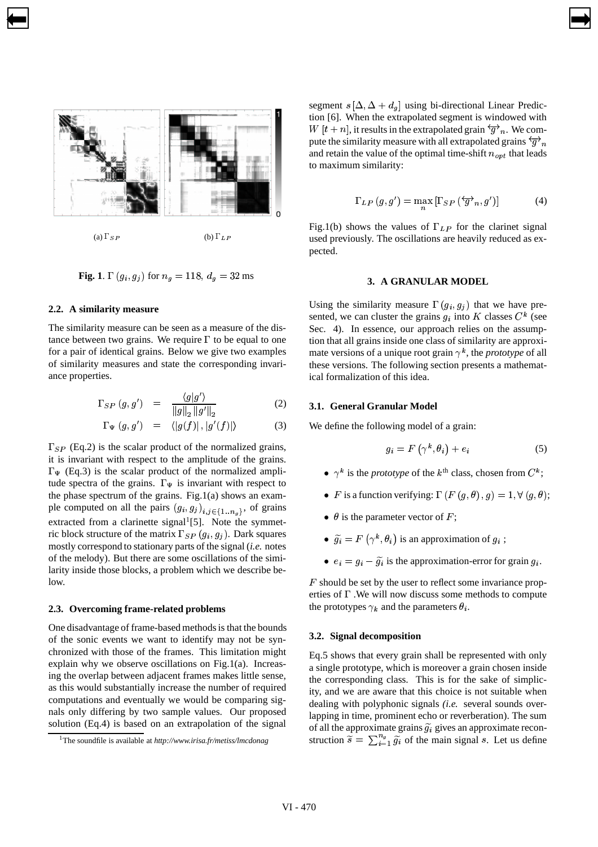

<span id="page-2-0"></span>[➡](#page-1-0)

**Fig.** 1.  $\Gamma(g_i, g_j)$  for  $n_g = 118, d_g = 32$  ms

### **2.2. A similarity measure**

The similarity measure can be seen as a measure of the distance between two grains. We require  $\Gamma$  to be equal to one for a pair of identical grains. Below we give two examples of similarity measures and state the corresponding invariance properties.

$$
\Gamma_{SP}(g, g') = \frac{\langle g|g'\rangle}{\|g\|_2 \|g'\|_2} \tag{2}
$$

$$
\Gamma_{\Psi}\left(g,g'\right) \quad = \quad \langle |g(f)|\,, |g'(f)| \rangle \tag{3}
$$

 $\Gamma_{SP}$  (Eq.2) is the scalar product of the normalized grains, it is invariant with respect to the amplitude of the grains.  $\Gamma_{\Psi}$  (Eq.3) is the scalar product of the normalized amplitude spectra of the grains.  $\Gamma_{\Psi}$  is invariant with respect to the phase spectrum of the grains. Fig.1(a) shows an example computed on all the pairs  $(g_i, g_j)_{i,j \in \{1 \ldots n_s\}}$ , of grains extracted from a clarinette signal<sup>1</sup>[5]. Note the symmetric block structure of the matrix  $\Gamma_{SP}(g_i, g_j)$ . Dark squares mostly correspond to stationary parts of the signal (*i.e.* notes of the melody). But there are some oscillations of the similarity inside those blocks, a problem which we describe below.

#### **2.3. Overcoming frame-related problems**

One disadvantage of frame-based methods is that the bounds of the sonic events we want to identify may not be synchronized with those of the frames. This limitation might explain why we observe oscillations on Fig.1(a). Increasing the overlap between adjacent frames makes little sense, as this would substantially increase the number of required computations and eventually we would be comparing signals only differing by two sample values. Our proposed solution (Eq.4) is based on an extrapolation of the signal

segment  $s[\Delta, \Delta + d_g]$  using bi-directional Linear Prediction [6]. When the extrapolated segment is windowed with  $W[t+n]$ , it results in the extrapolated grain  $\overline{\mathcal{G}}_n$ . We compute the similarity measure with all extrapolated grains  $\overleftrightarrow{g}_n$ and retain the value of the optimal time-shift  $n_{opt}$  that leads to maximum similarity:

$$
\Gamma_{LP}(g, g') = \max \left[ \Gamma_{SP} \left( \overleftrightarrow{g}^{\prime}{}_n, g' \right) \right] \tag{4}
$$

Fig.1(b) shows the values of  $\Gamma_{LP}$  for the clarinet signal used previously. The oscillations are heavily reduced as expected.

# **3. A GRANULAR MODEL**

Using the similarity measure  $\Gamma(g_i, g_j)$  that we have presented, we can cluster the grains  $g_i$  into K classes  $C^k$  (see Sec. 4). In essence, our approach relies on the assumption that all grains inside one class of similarity are approximate versions of a unique root grain  $\gamma^k$ , the *prototype* of all these versions. The following section presents a mathematical formalization of this idea.

#### **3.1. General Granular Model**

[➡](#page-3-0)

We define the following model of a grain:

$$
g_i = F\left(\gamma^k, \theta_i\right) + e_i \tag{5}
$$

- $\bullet \gamma^k$  is the *prototype* of the  $k^{\text{th}}$  class, chosen from  $C^k$ ;
- $\bullet$  F is a function verifying:  $\Gamma(F(g, \theta), g) = 1, \forall (g, \theta);$
- $\theta$  is the parameter vector of F;
- $\widetilde{g}_i = F(\gamma^k, \theta_i)$  is an approximation of  $g_i$ ;
- $e_i = g_i \tilde{g}_i$  is the approximation-error for grain  $g_i$ .

 $F$  should be set by the user to reflect some invariance properties of  $\Gamma$ . We will now discuss some methods to compute the prototypes  $\gamma_k$  and the parameters  $\theta_i$ .

#### **3.2. Signal decomposition**

Eq.5 shows that every grain shall be represented with only a single prototype, which is moreover a grain chosen inside the corresponding class. This is for the sake of simplicity, and we are aware that this choice is not suitable when dealing with polyphonic signals *(i.e.* several sounds overlapping in time, prominent echo or reverberation). The sum of all the approximate grains  $\tilde{g}_i$  gives an approximate reconstruction  $\widetilde{s} = \sum_{i=1}^{n_g} \widetilde{g}_i$  of the main sig  $\sum_{i=1}^{n_g} \widetilde{g_i}$  of the main signal s. Let us define

<sup>1</sup>The soundfile is available at *http://www.irisa.fr/metiss/lmcdonag*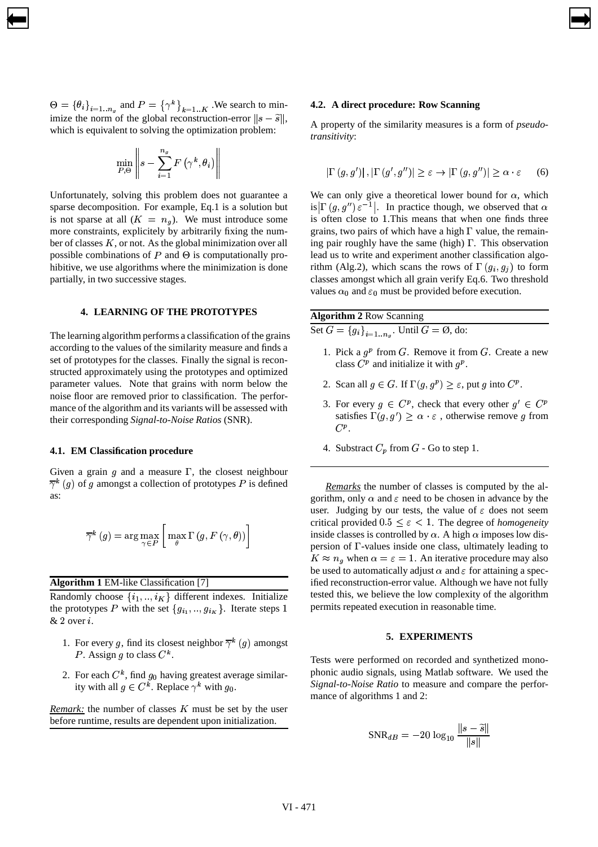$\Theta = {\theta_i}_{i=1..n_g}$  and  $P = {\gamma^k}_{k=1..K}$ . We search to minimize the norm of the global reconstruction-error  $||s - \tilde{s}||$ , which is equivalent to solving the optimization problem:

<span id="page-3-0"></span>[➡](#page-2-0)

$$
\min_{P,\Theta} \left\|s - \sum_{i=1}^{n_g} F\left(\gamma^k, \theta_i\right)\right\|
$$

Unfortunately, solving this problem does not guarantee a sparse decomposition. For example, Eq.1 is a solution but is not sparse at all  $(K = n_g)$ . We must introduce some more constraints, explicitely by arbitrarily fixing the number of classes  $K$ , or not. As the global minimization over all possible combinations of  $P$  and  $\Theta$  is computationally prohibitive, we use algorithms where the minimization is done partially, in two successive stages.

## **4. LEARNING OF THE PROTOTYPES**

The learning algorithm performs a classification of the grains according to the values of the similarity measure and finds a set of prototypes for the classes. Finally the signal is reconstructed approximately using the prototypes and optimized parameter values. Note that grains with norm below the noise floor are removed prior to classification. The performance of the algorithm and its variants will be assessed with their corresponding *Signal-to-Noise Ratios* (SNR).

#### **4.1. EM Classification procedure**

Given a grain  $q$  and a measure  $\Gamma$ , the closest neighbour  $\overline{\gamma}^k$  (g) of g amongst a collection of prototypes P is defined as:

$$
\overline{\gamma}^{k}\left(g\right)=\arg\max_{\gamma\in P}\left[\,\max_{\theta}\Gamma\left(g,F\left(\gamma,\theta\right)\right)\right]
$$

**Algorithm 1** EM-like Classification [7]

Randomly choose  $\{i_1, ..., i_K\}$  different indexes. Initialize the prototypes P with the set  $\{g_{i_1},...,g_{i_K}\}\$ . Iterate steps 1  $& 2$  over  $i$ .

- 1. For every g, find its closest neighbor  $\overline{\gamma}^k(g)$  amongst P. Assign g to class  $C^k$ .
- 2. For each  $C^k$ , find  $g_0$  having greatest average similarity with all  $g \in C^k$ . Replace  $\gamma^k$  with  $g_0$ .

*Remark:* the number of classes  $K$  must be set by the user before runtime, results are dependent upon initialization.

#### **4.2. A direct procedure: Row Scanning**

[➡](#page-4-0)

A property of the similarity measures is a form of *pseudotransitivity*:

$$
\left|\Gamma\left(g,g'\right)\right|,\left|\Gamma\left(g',g''\right)\right| \geq \varepsilon \to \left|\Gamma\left(g,g''\right)\right| \geq \alpha \cdot \varepsilon \qquad (6)
$$

We can only give a theoretical lower bound for  $\alpha$ , which is  $\left| \Gamma(g, g'') \varepsilon^{-1} \right|$ . In practice though, we observed that  $\alpha$ is often close to 1.This means that when one finds three grains, two pairs of which have a high  $\Gamma$  value, the remaining pair roughly have the same (high)  $\Gamma$ . This observation lead us to write and experiment another classification algorithm (Alg.2), which scans the rows of  $\Gamma(g_i, g_j)$  to form classes amongst which all grain verify Eq.6. Two threshold values  $\alpha_0$  and  $\varepsilon_0$  must be provided before execution.

| <b>Algorithm 2 Row Scanning</b>                          |  |  |  |  |  |  |  |  |  |  |
|----------------------------------------------------------|--|--|--|--|--|--|--|--|--|--|
| Set $G = \{g_i\}_{i=1n_q}$ . Until $G = \emptyset$ , do: |  |  |  |  |  |  |  |  |  |  |

- 1. Pick a  $g^p$  from G. Remove it from G. Create a new class  $C^p$  and initialize it with  $g^p$ .
- 2. Scan all  $g \in G$ . If  $\Gamma(g, g^p) \geq \varepsilon$ , put g into  $C^p$ .
- 3. For every  $g \in C^p$ , check that every other  $g' \in C^p$ satisfies  $\Gamma(g, g') \geq \alpha \cdot \varepsilon$ , otherwise remove g from  $C^p$ .
- 4. Substract  $C_p$  from  $G$  Go to step 1.

*Remarks* the number of classes is computed by the algorithm, only  $\alpha$  and  $\varepsilon$  need to be chosen in advance by the user. Judging by our tests, the value of  $\varepsilon$  does not seem critical provided  $0.5 \leq \varepsilon < 1$ . The degree of *homogeneity* inside classes is controlled by  $\alpha$ . A high  $\alpha$  imposes low dispersion of  $\Gamma$ -values inside one class, ultimately leading to  $K \approx n_{q}$  when  $\alpha = \varepsilon = 1$ . An iterative procedure may also be used to automatically adjust  $\alpha$  and  $\varepsilon$  for attaining a specified reconstruction-error value. Although we have not fully tested this, we believe the low complexity of the algorithm permits repeated execution in reasonable time.

#### **5. EXPERIMENTS**

Tests were performed on recorded and synthetized monophonic audio signals, using Matlab software. We used the *Signal-to-Noise Ratio* to measure and compare the performance of algorithms 1 and 2:

$$
\text{SNR}_{dB} = -20 \, \log_{10} \frac{\|s - \widetilde{s}\|}{\|s\|}
$$